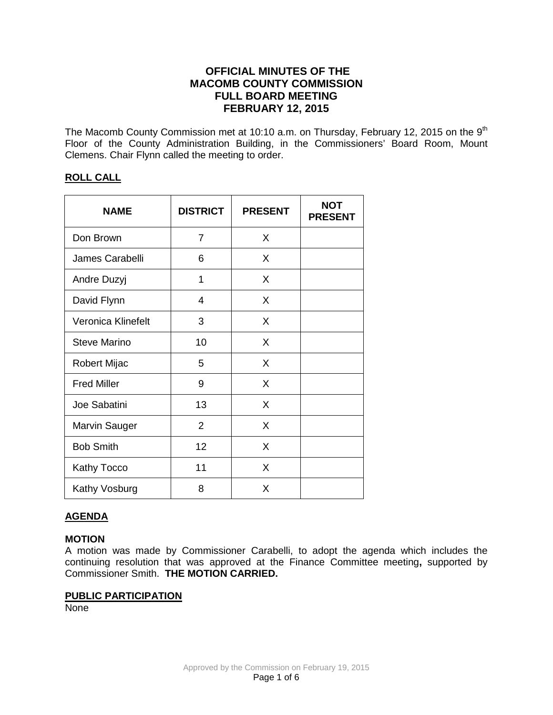# **OFFICIAL MINUTES OF THE MACOMB COUNTY COMMISSION FULL BOARD MEETING FEBRUARY 12, 2015**

The Macomb County Commission met at 10:10 a.m. on Thursday, February 12, 2015 on the 9<sup>th</sup> Floor of the County Administration Building, in the Commissioners' Board Room, Mount Clemens. Chair Flynn called the meeting to order.

# **ROLL CALL**

| <b>NAME</b>          | <b>DISTRICT</b> | <b>PRESENT</b> | <b>NOT</b><br><b>PRESENT</b> |
|----------------------|-----------------|----------------|------------------------------|
| Don Brown            | 7               | X              |                              |
| James Carabelli      | 6               | X              |                              |
| Andre Duzyj          | 1               | X              |                              |
| David Flynn          | 4               | X              |                              |
| Veronica Klinefelt   | 3               | X              |                              |
| <b>Steve Marino</b>  | 10              | X              |                              |
| Robert Mijac         | 5               | X              |                              |
| <b>Fred Miller</b>   | 9               | X              |                              |
| Joe Sabatini         | 13              | X              |                              |
| <b>Marvin Sauger</b> | $\overline{2}$  | X              |                              |
| <b>Bob Smith</b>     | 12              | X              |                              |
| <b>Kathy Tocco</b>   | 11              | X              |                              |
| Kathy Vosburg        | 8               | X              |                              |

# **AGENDA**

#### **MOTION**

A motion was made by Commissioner Carabelli, to adopt the agenda which includes the continuing resolution that was approved at the Finance Committee meeting**,** supported by Commissioner Smith. **THE MOTION CARRIED.** 

#### **PUBLIC PARTICIPATION**

None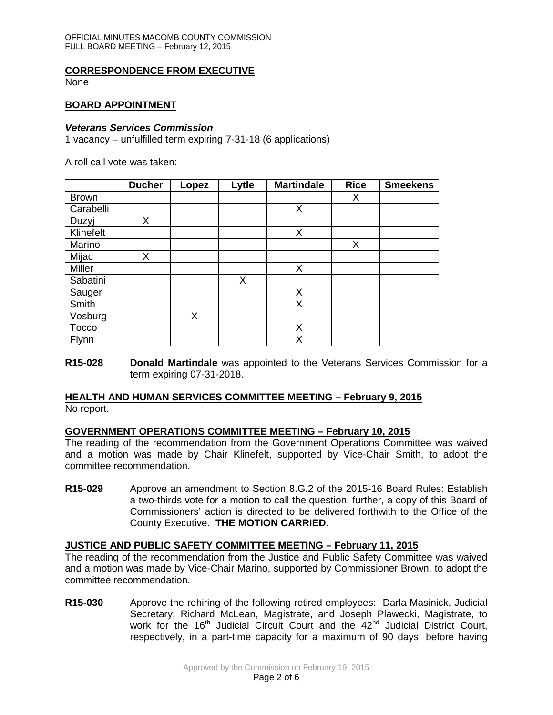# **CORRESPONDENCE FROM EXECUTIVE**

None

#### **BOARD APPOINTMENT**

#### *Veterans Services Commission*

1 vacancy – unfulfilled term expiring 7-31-18 (6 applications)

A roll call vote was taken:

|              | <b>Ducher</b> | Lopez | Lytle | <b>Martindale</b> | <b>Rice</b> | <b>Smeekens</b> |
|--------------|---------------|-------|-------|-------------------|-------------|-----------------|
| <b>Brown</b> |               |       |       |                   | Х           |                 |
| Carabelli    |               |       |       | Χ                 |             |                 |
| Duzyj        | Χ             |       |       |                   |             |                 |
| Klinefelt    |               |       |       | Χ                 |             |                 |
| Marino       |               |       |       |                   | X           |                 |
| Mijac        | Χ             |       |       |                   |             |                 |
| Miller       |               |       |       | X                 |             |                 |
| Sabatini     |               |       | X     |                   |             |                 |
| Sauger       |               |       |       | X                 |             |                 |
| Smith        |               |       |       | Χ                 |             |                 |
| Vosburg      |               | X.    |       |                   |             |                 |
| <b>Tocco</b> |               |       |       | Χ                 |             |                 |
| Flynn        |               |       |       | Χ                 |             |                 |

**R15-028 Donald Martindale** was appointed to the Veterans Services Commission for a term expiring 07-31-2018.

# **HEALTH AND HUMAN SERVICES COMMITTEE MEETING – February 9, 2015**

No report.

# **GOVERNMENT OPERATIONS COMMITTEE MEETING – February 10, 2015**

The reading of the recommendation from the Government Operations Committee was waived and a motion was made by Chair Klinefelt, supported by Vice-Chair Smith, to adopt the committee recommendation.

**R15-029** Approve an amendment to Section 8.G.2 of the 2015-16 Board Rules: Establish a two-thirds vote for a motion to call the question; further, a copy of this Board of Commissioners' action is directed to be delivered forthwith to the Office of the County Executive. **THE MOTION CARRIED.**

# **JUSTICE AND PUBLIC SAFETY COMMITTEE MEETING – February 11, 2015**

The reading of the recommendation from the Justice and Public Safety Committee was waived and a motion was made by Vice-Chair Marino, supported by Commissioner Brown, to adopt the committee recommendation.

**R15-030** Approve the rehiring of the following retired employees: Darla Masinick, Judicial Secretary; Richard McLean, Magistrate, and Joseph Plawecki, Magistrate, to work for the 16<sup>th</sup> Judicial Circuit Court and the 42<sup>nd</sup> Judicial District Court, respectively, in a part-time capacity for a maximum of 90 days, before having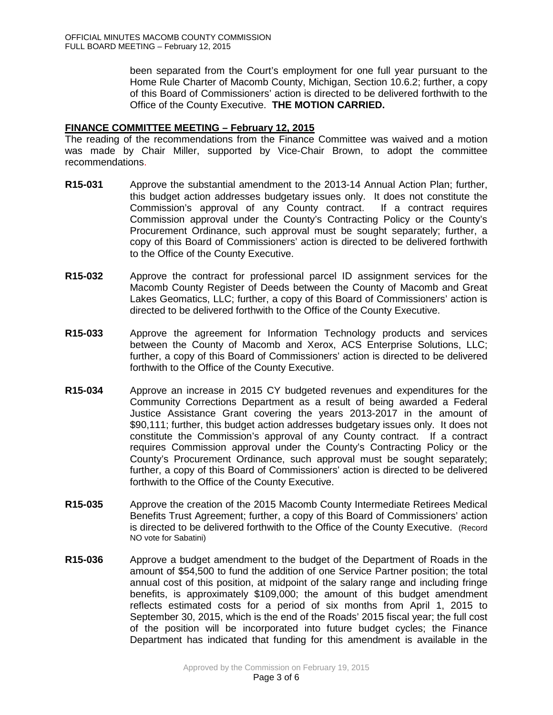been separated from the Court's employment for one full year pursuant to the Home Rule Charter of Macomb County, Michigan, Section 10.6.2; further, a copy of this Board of Commissioners' action is directed to be delivered forthwith to the Office of the County Executive. **THE MOTION CARRIED.** 

# **FINANCE COMMITTEE MEETING – February 12, 2015**

The reading of the recommendations from the Finance Committee was waived and a motion was made by Chair Miller, supported by Vice-Chair Brown, to adopt the committee recommendations.

- **R15-031** Approve the substantial amendment to the 2013-14 Annual Action Plan; further, this budget action addresses budgetary issues only. It does not constitute the Commission's approval of any County contract. If a contract requires Commission approval under the County's Contracting Policy or the County's Procurement Ordinance, such approval must be sought separately; further, a copy of this Board of Commissioners' action is directed to be delivered forthwith to the Office of the County Executive.
- **R15-032** Approve the contract for professional parcel ID assignment services for the Macomb County Register of Deeds between the County of Macomb and Great Lakes Geomatics, LLC; further, a copy of this Board of Commissioners' action is directed to be delivered forthwith to the Office of the County Executive.
- **R15-033** Approve the agreement for Information Technology products and services between the County of Macomb and Xerox, ACS Enterprise Solutions, LLC; further, a copy of this Board of Commissioners' action is directed to be delivered forthwith to the Office of the County Executive.
- **R15-034** Approve an increase in 2015 CY budgeted revenues and expenditures for the Community Corrections Department as a result of being awarded a Federal Justice Assistance Grant covering the years 2013-2017 in the amount of \$90,111; further, this budget action addresses budgetary issues only. It does not constitute the Commission's approval of any County contract. If a contract requires Commission approval under the County's Contracting Policy or the County's Procurement Ordinance, such approval must be sought separately; further, a copy of this Board of Commissioners' action is directed to be delivered forthwith to the Office of the County Executive.
- **R15-035** Approve the creation of the 2015 Macomb County Intermediate Retirees Medical Benefits Trust Agreement; further, a copy of this Board of Commissioners' action is directed to be delivered forthwith to the Office of the County Executive. (Record NO vote for Sabatini)
- **R15-036** Approve a budget amendment to the budget of the Department of Roads in the amount of \$54,500 to fund the addition of one Service Partner position; the total annual cost of this position, at midpoint of the salary range and including fringe benefits, is approximately \$109,000; the amount of this budget amendment reflects estimated costs for a period of six months from April 1, 2015 to September 30, 2015, which is the end of the Roads' 2015 fiscal year; the full cost of the position will be incorporated into future budget cycles; the Finance Department has indicated that funding for this amendment is available in the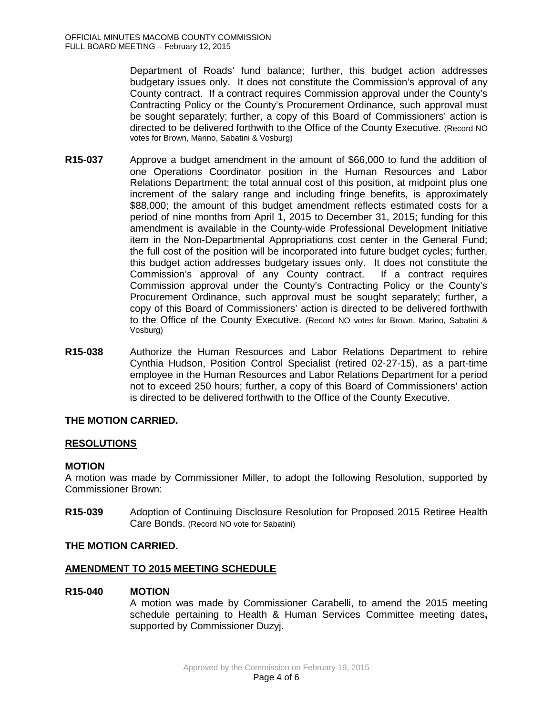Department of Roads' fund balance; further, this budget action addresses budgetary issues only. It does not constitute the Commission's approval of any County contract. If a contract requires Commission approval under the County's Contracting Policy or the County's Procurement Ordinance, such approval must be sought separately; further, a copy of this Board of Commissioners' action is directed to be delivered forthwith to the Office of the County Executive. (Record NO votes for Brown, Marino, Sabatini & Vosburg)

- **R15-037** Approve a budget amendment in the amount of \$66,000 to fund the addition of one Operations Coordinator position in the Human Resources and Labor Relations Department; the total annual cost of this position, at midpoint plus one increment of the salary range and including fringe benefits, is approximately \$88,000; the amount of this budget amendment reflects estimated costs for a period of nine months from April 1, 2015 to December 31, 2015; funding for this amendment is available in the County-wide Professional Development Initiative item in the Non-Departmental Appropriations cost center in the General Fund; the full cost of the position will be incorporated into future budget cycles; further, this budget action addresses budgetary issues only. It does not constitute the Commission's approval of any County contract. If a contract requires Commission approval under the County's Contracting Policy or the County's Procurement Ordinance, such approval must be sought separately; further, a copy of this Board of Commissioners' action is directed to be delivered forthwith to the Office of the County Executive. (Record NO votes for Brown, Marino, Sabatini & Vosburg)
- **R15-038** Authorize the Human Resources and Labor Relations Department to rehire Cynthia Hudson, Position Control Specialist (retired 02-27-15), as a part-time employee in the Human Resources and Labor Relations Department for a period not to exceed 250 hours; further, a copy of this Board of Commissioners' action is directed to be delivered forthwith to the Office of the County Executive.

# **THE MOTION CARRIED.**

# **RESOLUTIONS**

#### **MOTION**

A motion was made by Commissioner Miller, to adopt the following Resolution, supported by Commissioner Brown:

**R15-039** Adoption of Continuing Disclosure Resolution for Proposed 2015 Retiree Health Care Bonds. (Record NO vote for Sabatini)

# **THE MOTION CARRIED.**

# **AMENDMENT TO 2015 MEETING SCHEDULE**

#### **R15-040 MOTION**

A motion was made by Commissioner Carabelli, to amend the 2015 meeting schedule pertaining to Health & Human Services Committee meeting dates**,**  supported by Commissioner Duzyj.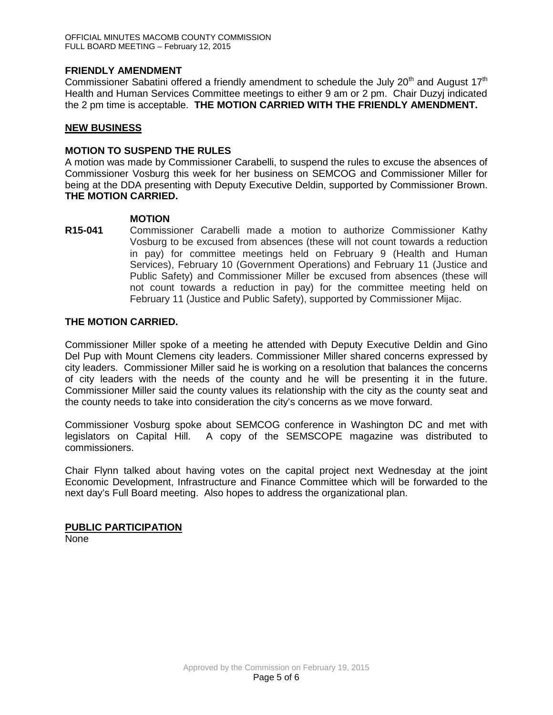# **FRIENDLY AMENDMENT**

Commissioner Sabatini offered a friendly amendment to schedule the July 20<sup>th</sup> and August 17<sup>th</sup> Health and Human Services Committee meetings to either 9 am or 2 pm. Chair Duzyj indicated the 2 pm time is acceptable. **THE MOTION CARRIED WITH THE FRIENDLY AMENDMENT.** 

#### **NEW BUSINESS**

#### **MOTION TO SUSPEND THE RULES**

A motion was made by Commissioner Carabelli, to suspend the rules to excuse the absences of Commissioner Vosburg this week for her business on SEMCOG and Commissioner Miller for being at the DDA presenting with Deputy Executive Deldin, supported by Commissioner Brown. **THE MOTION CARRIED.** 

# **MOTION**

**R15-041** Commissioner Carabelli made a motion to authorize Commissioner Kathy Vosburg to be excused from absences (these will not count towards a reduction in pay) for committee meetings held on February 9 (Health and Human Services), February 10 (Government Operations) and February 11 (Justice and Public Safety) and Commissioner Miller be excused from absences (these will not count towards a reduction in pay) for the committee meeting held on February 11 (Justice and Public Safety), supported by Commissioner Mijac.

# **THE MOTION CARRIED.**

Commissioner Miller spoke of a meeting he attended with Deputy Executive Deldin and Gino Del Pup with Mount Clemens city leaders. Commissioner Miller shared concerns expressed by city leaders. Commissioner Miller said he is working on a resolution that balances the concerns of city leaders with the needs of the county and he will be presenting it in the future. Commissioner Miller said the county values its relationship with the city as the county seat and the county needs to take into consideration the city's concerns as we move forward.

Commissioner Vosburg spoke about SEMCOG conference in Washington DC and met with legislators on Capital Hill. A copy of the SEMSCOPE magazine was distributed to commissioners.

Chair Flynn talked about having votes on the capital project next Wednesday at the joint Economic Development, Infrastructure and Finance Committee which will be forwarded to the next day's Full Board meeting. Also hopes to address the organizational plan.

#### **PUBLIC PARTICIPATION** None